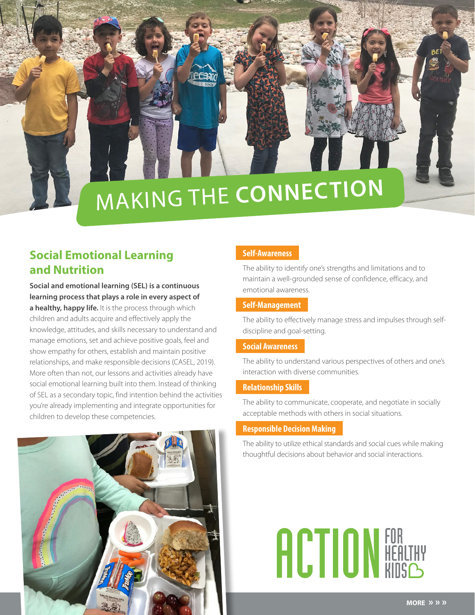## BUILDING A **MAKING THE CONNECTION**

#### **Social Emotional Learning and Nutrition**

**Social and emotional learning (SEL) is a continuous learning process that plays a role in every aspect of** 

**a healthy, happy life.** It is the process through which children and adults acquire and effectively apply the knowledge, attitudes, and skills necessary to understand and manage emotions, set and achieve positive goals, feel and show empathy for others, establish and maintain positive relationships, and make responsible decisions (CASEL, 2019). More often than not, our lessons and activities already have social emotional learning built into them. Instead of thinking of SEL as a secondary topic, find intention behind the activities you're already implementing and integrate opportunities for children to develop these competencies.

#### **Self-Awareness**

The ability to identify one's strengths and limitations and to maintain a well-grounded sense of confidence, efficacy, and emotional awareness.

#### **Self-Management**

The ability to effectively manage stress and impulses through selfdiscipline and goal-setting.

#### **Social Awareness**

The ability to understand various perspectives of others and one's interaction with diverse communities.

#### **Relationship Skills**

The ability to communicate, cooperate, and negotiate in socially acceptable methods with others in social situations.

#### **Responsible Decision Making**

The ability to utilize ethical standards and social cues while making thoughtful decisions about behavior and social interactions.

# **ACTION FOR HEALTHY**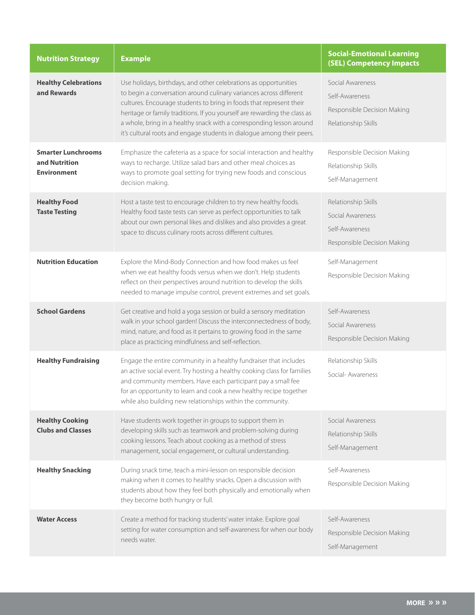| <b>Nutrition Strategy</b>                                        | <b>Example</b>                                                                                                                                                                                                                                                                                                                                                                                                                               | <b>Social-Emotional Learning</b><br><b>(SEL) Competency Impacts</b>                      |
|------------------------------------------------------------------|----------------------------------------------------------------------------------------------------------------------------------------------------------------------------------------------------------------------------------------------------------------------------------------------------------------------------------------------------------------------------------------------------------------------------------------------|------------------------------------------------------------------------------------------|
| <b>Healthy Celebrations</b><br>and Rewards                       | Use holidays, birthdays, and other celebrations as opportunities<br>to begin a conversation around culinary variances across different<br>cultures. Encourage students to bring in foods that represent their<br>heritage or family traditions. If you yourself are rewarding the class as<br>a whole, bring in a healthy snack with a corresponding lesson around<br>it's cultural roots and engage students in dialogue among their peers. | Social Awareness<br>Self-Awareness<br>Responsible Decision Making<br>Relationship Skills |
| <b>Smarter Lunchrooms</b><br>and Nutrition<br><b>Environment</b> | Emphasize the cafeteria as a space for social interaction and healthy<br>ways to recharge. Utilize salad bars and other meal choices as<br>ways to promote goal setting for trying new foods and conscious<br>decision making.                                                                                                                                                                                                               | Responsible Decision Making<br>Relationship Skills<br>Self-Management                    |
| <b>Healthy Food</b><br><b>Taste Testing</b>                      | Host a taste test to encourage children to try new healthy foods.<br>Healthy food taste tests can serve as perfect opportunities to talk<br>about our own personal likes and dislikes and also provides a great<br>space to discuss culinary roots across different cultures.                                                                                                                                                                | Relationship Skills<br>Social Awareness<br>Self-Awareness<br>Responsible Decision Making |
| <b>Nutrition Education</b>                                       | Explore the Mind-Body Connection and how food makes us feel<br>when we eat healthy foods versus when we don't. Help students<br>reflect on their perspectives around nutrition to develop the skills<br>needed to manage impulse control, prevent extremes and set goals.                                                                                                                                                                    | Self-Management<br>Responsible Decision Making                                           |
| <b>School Gardens</b>                                            | Get creative and hold a yoga session or build a sensory meditation<br>walk in your school garden! Discuss the interconnectedness of body,<br>mind, nature, and food as it pertains to growing food in the same<br>place as practicing mindfulness and self-reflection.                                                                                                                                                                       | Self-Awareness<br>Social Awareness<br>Responsible Decision Making                        |
| <b>Healthy Fundraising</b>                                       | Engage the entire community in a healthy fundraiser that includes<br>an active social event. Try hosting a healthy cooking class for families<br>and community members. Have each participant pay a small fee<br>for an opportunity to learn and cook a new healthy recipe together<br>while also building new relationships within the community.                                                                                           | Relationship Skills<br>Social-Awareness                                                  |
| <b>Healthy Cooking</b><br><b>Clubs and Classes</b>               | Have students work together in groups to support them in<br>developing skills such as teamwork and problem-solving during<br>cooking lessons. Teach about cooking as a method of stress<br>management, social engagement, or cultural understanding.                                                                                                                                                                                         | Social Awareness<br>Relationship Skills<br>Self-Management                               |
| <b>Healthy Snacking</b>                                          | During snack time, teach a mini-lesson on responsible decision<br>making when it comes to healthy snacks. Open a discussion with<br>students about how they feel both physically and emotionally when<br>they become both hungry or full.                                                                                                                                                                                                    | Self-Awareness<br>Responsible Decision Making                                            |
| <b>Water Access</b>                                              | Create a method for tracking students' water intake. Explore goal<br>setting for water consumption and self-awareness for when our body<br>needs water.                                                                                                                                                                                                                                                                                      | Self-Awareness<br>Responsible Decision Making<br>Self-Management                         |